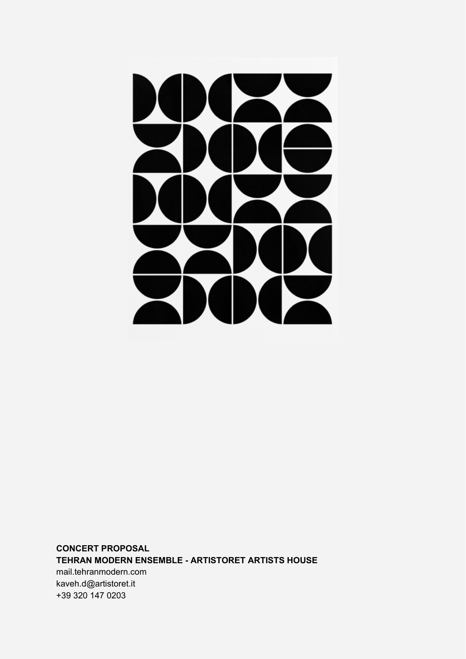

**CONCERT PROPOSAL TEHRAN MODERN ENSEMBLE - ARTISTORET ARTISTS HOUSE** mail.tehranmodern.com [kaveh.d@artistoret.it](mailto:kaveh.d@artistoret.it) +39 320 147 0203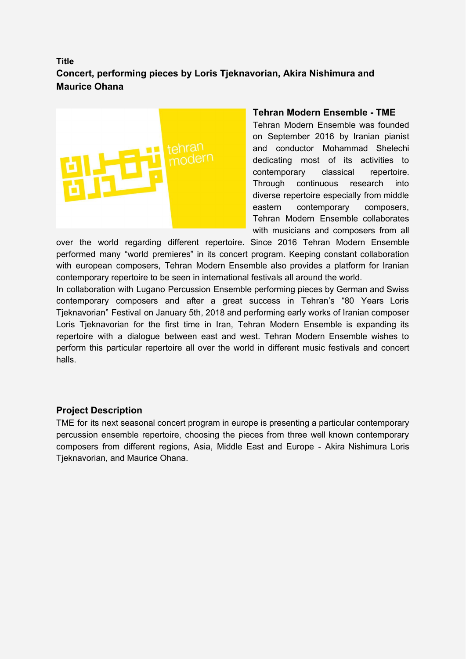# **Title Concert, performing pieces by Loris Tjeknavorian, Akira Nishimura and Maurice Ohana**



### **Tehran Modern Ensemble - TME**

Tehran Modern Ensemble was founded on September 2016 by Iranian pianist and conductor Mohammad Shelechi dedicating most of its activities to contemporary classical repertoire. Through continuous research into diverse repertoire especially from middle eastern contemporary composers, Tehran Modern Ensemble collaborates with musicians and composers from all

over the world regarding different repertoire. Since 2016 Tehran Modern Ensemble performed many "world premieres" in its concert program. Keeping constant collaboration with european composers, Tehran Modern Ensemble also provides a platform for Iranian contemporary repertoire to be seen in international festivals all around the world.

In collaboration with Lugano Percussion Ensemble performing pieces by German and Swiss contemporary composers and after a great success in Tehran's "80 Years Loris Tjeknavorian" Festival on January 5th, 2018 and performing early works of Iranian composer Loris Tjeknavorian for the first time in Iran, Tehran Modern Ensemble is expanding its repertoire with a dialogue between east and west. Tehran Modern Ensemble wishes to perform this particular repertoire all over the world in different music festivals and concert halls.

### **Project Description**

TME for its next seasonal concert program in europe is presenting a particular contemporary percussion ensemble repertoire, choosing the pieces from three well known contemporary composers from different regions, Asia, Middle East and Europe - Akira Nishimura Loris Tjeknavorian, and Maurice Ohana.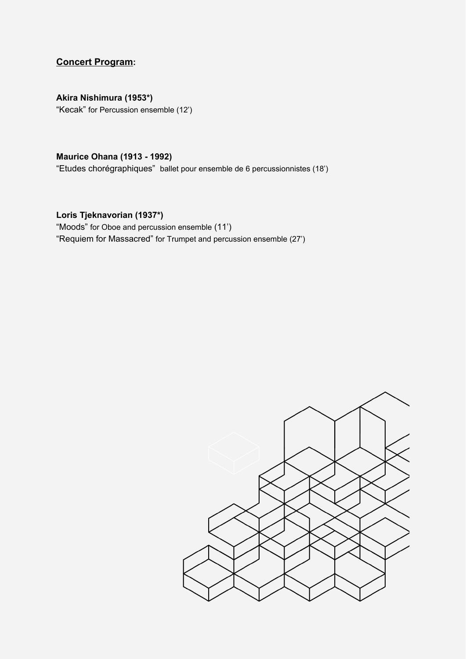## **Concert Program:**

**Akira Nishimura (1953\*)**

"Kecak" for Percussion ensemble (12')

### **Maurice Ohana (1913 - 1992)**

"Etudes chorégraphiques" ballet pour ensemble de 6 percussionnistes (18')

### **Loris Tjeknavorian (1937\*)**

"Moods" for Oboe and percussion ensemble (11') "Requiem for Massacred" for Trumpet and percussion ensemble (27')

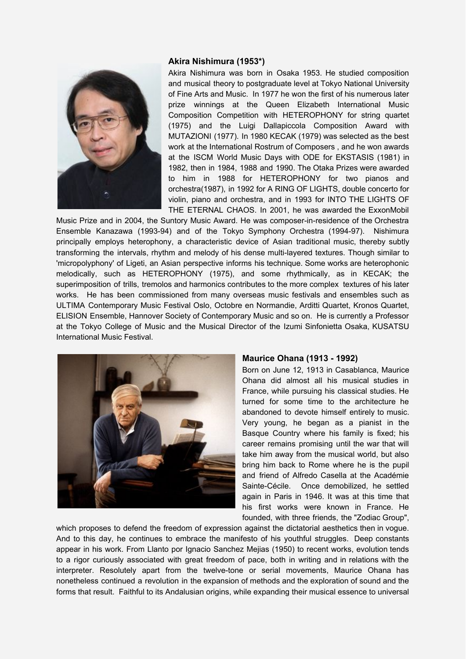#### **Akira Nishimura (1953\*)**



Akira Nishimura was born in Osaka 1953. He studied composition and musical theory to postgraduate level at Tokyo National University of Fine Arts and Music. In 1977 he won the first of his numerous later prize winnings at the Queen Elizabeth International Music Composition Competition with HETEROPHONY for string quartet (1975) and the Luigi Dallapiccola Composition Award with MUTAZIONI (1977). In 1980 KECAK (1979) was selected as the best work at the International Rostrum of Composers , and he won awards at the ISCM World Music Days with ODE for EKSTASIS (1981) in 1982, then in 1984, 1988 and 1990. The Otaka Prizes were awarded to him in 1988 for HETEROPHONY for two pianos and orchestra(1987), in 1992 for A RING OF LIGHTS, double concerto for violin, piano and orchestra, and in 1993 for INTO THE LIGHTS OF THE ETERNAL CHAOS. In 2001, he was awarded the ExxonMobil

Music Prize and in 2004, the Suntory Music Award. He was composer-in-residence of the Orchestra Ensemble Kanazawa (1993-94) and of the Tokyo Symphony Orchestra (1994-97). Nishimura principally employs heterophony, a characteristic device of Asian traditional music, thereby subtly transforming the intervals, rhythm and melody of his dense multi-layered textures. Though similar to 'micropolyphony' of Ligeti, an Asian perspective informs his technique. Some works are heterophonic melodically, such as HETEROPHONY (1975), and some rhythmically, as in KECAK; the superimposition of trills, tremolos and harmonics contributes to the more complex textures of his later works. He has been commissioned from many overseas music festivals and ensembles such as ULTIMA Contemporary Music Festival Oslo, Octobre en Normandie, Arditti Quartet, Kronos Quartet, ELISION Ensemble, Hannover Society of Contemporary Music and so on. He is currently a Professor at the Tokyo College of Music and the Musical Director of the Izumi Sinfonietta Osaka, KUSATSU International Music Festival.



#### **Maurice Ohana (1913 - 1992)**

Born on June 12, 1913 in Casablanca, Maurice Ohana did almost all his musical studies in France, while pursuing his classical studies. He turned for some time to the architecture he abandoned to devote himself entirely to music. Very young, he began as a pianist in the Basque Country where his family is fixed; his career remains promising until the war that will take him away from the musical world, but also bring him back to Rome where he is the pupil and friend of Alfredo Casella at the Académie Sainte-Cécile. Once demobilized, he settled again in Paris in 1946. It was at this time that his first works were known in France. He founded, with three friends, the "Zodiac Group",

which proposes to defend the freedom of expression against the dictatorial aesthetics then in vogue. And to this day, he continues to embrace the manifesto of his youthful struggles. Deep constants appear in his work. From Llanto por Ignacio Sanchez Mejias (1950) to recent works, evolution tends to a rigor curiously associated with great freedom of pace, both in writing and in relations with the interpreter. Resolutely apart from the twelve-tone or serial movements, Maurice Ohana has nonetheless continued a revolution in the expansion of methods and the exploration of sound and the forms that result. Faithful to its Andalusian origins, while expanding their musical essence to universal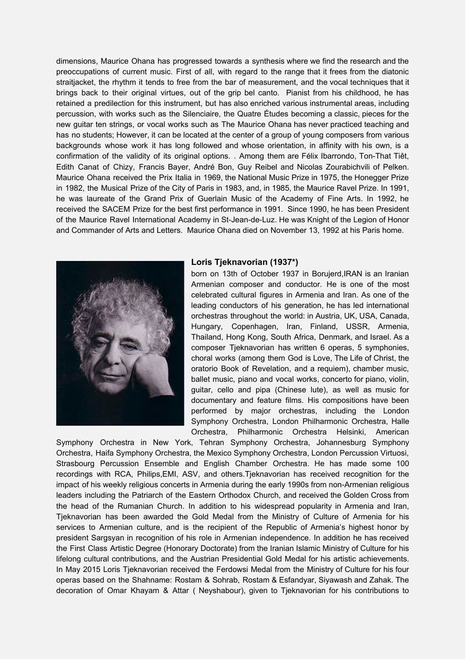dimensions, Maurice Ohana has progressed towards a synthesis where we find the research and the preoccupations of current music. First of all, with regard to the range that it frees from the diatonic straitjacket, the rhythm it tends to free from the bar of measurement, and the vocal techniques that it brings back to their original virtues, out of the grip bel canto. Pianist from his childhood, he has retained a predilection for this instrument, but has also enriched various instrumental areas, including percussion, with works such as the Silenciaire, the Quatre Études becoming a classic, pieces for the new guitar ten strings, or vocal works such as The Maurice Ohana has never practiced teaching and has no students; However, it can be located at the center of a group of young composers from various backgrounds whose work it has long followed and whose orientation, in affinity with his own, is a confirmation of the validity of its original options. . Among them are Félix Ibarrondo, Ton-That Tiêt, Edith Canat of Chizy, Francis Bayer, André Bon, Guy Reibel and Nicolas Zourabichvili of Pelken. Maurice Ohana received the Prix Italia in 1969, the National Music Prize in 1975, the Honegger Prize in 1982, the Musical Prize of the City of Paris in 1983, and, in 1985, the Maurice Ravel Prize. In 1991, he was laureate of the Grand Prix of Guerlain Music of the Academy of Fine Arts. In 1992, he received the SACEM Prize for the best first performance in 1991. Since 1990, he has been President of the Maurice Ravel International Academy in St-Jean-de-Luz. He was Knight of the Legion of Honor and Commander of Arts and Letters. Maurice Ohana died on November 13, 1992 at his Paris home.



#### **Loris Tjeknavorian (1937\*)**

born on 13th of October 1937 in Borujerd,IRAN is an Iranian Armenian composer and conductor. He is one of the most celebrated cultural figures in Armenia and Iran. As one of the leading conductors of his generation, he has led international orchestras throughout the world: in Austria, UK, USA, Canada, Hungary, Copenhagen, Iran, Finland, USSR, Armenia, Thailand, Hong Kong, South Africa, Denmark, and Israel. As a composer Tjeknavorian has written 6 operas, 5 symphonies, choral works (among them God is Love, The Life of Christ, the oratorio Book of Revelation, and a requiem), chamber music, ballet music, piano and vocal works, concerto for piano, violin, guitar, cello and pipa (Chinese lute), as well as music for documentary and feature films. His compositions have been performed by major orchestras, including the London Symphony Orchestra, London Philharmonic Orchestra, Halle Orchestra, Philharmonic Orchestra Helsinki, American

Symphony Orchestra in New York, Tehran Symphony Orchestra, Johannesburg Symphony Orchestra, Haifa Symphony Orchestra, the Mexico Symphony Orchestra, London Percussion Virtuosi, Strasbourg Percussion Ensemble and English Chamber Orchestra. He has made some 100 recordings with RCA, Philips,EMI, ASV, and others.Tjeknavorian has received recognition for the impact of his weekly religious concerts in Armenia during the early 1990s from non-Armenian religious leaders including the Patriarch of the Eastern Orthodox Church, and received the Golden Cross from the head of the Rumanian Church. In addition to his widespread popularity in Armenia and Iran, Tjeknavorian has been awarded the Gold Medal from the Ministry of Culture of Armenia for his services to Armenian culture, and is the recipient of the Republic of Armenia's highest honor by president Sargsyan in recognition of his role in Armenian independence. In addition he has received the First Class Artistic Degree (Honorary Doctorate) from the Iranian Islamic Ministry of Culture for his lifelong cultural contributions, and the Austrian Presidential Gold Medal for his artistic achievements. In May 2015 Loris Tjeknavorian received the Ferdowsi Medal from the Ministry of Culture for his four operas based on the Shahname: Rostam & Sohrab, Rostam & Esfandyar, Siyawash and Zahak. The decoration of Omar Khayam & Attar ( Neyshabour), given to Tjeknavorian for his contributions to